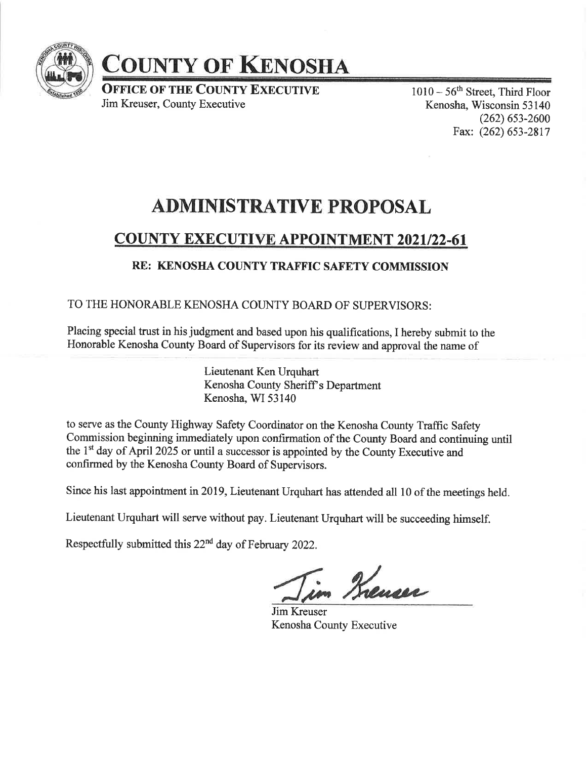

# COUNTY OF KENOSHA

**OFFICE OF THE COUNTY EXECUTIVE** Jim Kreuser, County Executive

 $1010-56$ <sup>th</sup> Street, Third Floor Kenosha, Wisconsin 53 140 (262) 6s3-2600 Fax: (262) 653-2817

# ADMINISTRATIVE PROPOSAL

## COUNTY EXECUTIVE APPOINTMENT 2021/22-61

### RE: KENOSHA COUNTY TRAFFIC SAFETY COMMISSION

TO THE HONORABLE KENOSHA COUNTY BOARD OF SUPERVISORS:

Placing special trust in his judgment and based upon his qualifications, I hereby submit to the Honorable Kenosha County Board of Supervisors for its review and approval the name of

> Lieutenant Ken Urquhart Kenosha County Sheriff's Department Kenosha, WI 53140

to serve as the County Highway Safety Coordinator on the Kenosha County Traffic Safety Commission beginning immediately upon confrmation of the County Board and continuing until the 1<sup>st</sup> day of April 2025 or until a successor is appointed by the County Executive and confirmed by the Kenosha County Board of Supervisors.

Since his last appointment in 2019, Lieutenant Urquhart has attended all 10 of the meetings held.

Lieutenant Urquhart will serve without pay. Lieutenant Urquhart will be succeeding himself.

Respectfully submitted this22"d day of February 2022.

im Krenser

Jim Kreuser Kenosha County Executive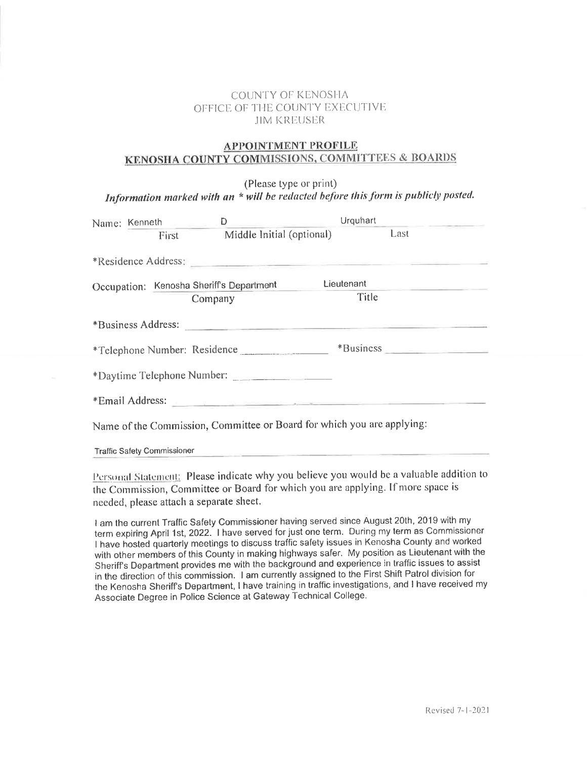#### **COUNTY OF KENOSHA** OFFICE OF THE COUNTY EXECUTIVE **JIM KREUSER**

#### **APPOINTMENT PROFILE** KENOSHA COUNTY COMMISSIONS, COMMITTEES & BOARDS

(Please type or print) Information marked with an \* will be redacted before this form is publicly posted.

|                                                                                                                                                                                                                                | Name: Kenneth | D                                                                                                                                                                                                                              |            |      |  |
|--------------------------------------------------------------------------------------------------------------------------------------------------------------------------------------------------------------------------------|---------------|--------------------------------------------------------------------------------------------------------------------------------------------------------------------------------------------------------------------------------|------------|------|--|
|                                                                                                                                                                                                                                | First         | Middle Initial (optional)                                                                                                                                                                                                      |            | Last |  |
|                                                                                                                                                                                                                                |               | *Residence Address: New York Change and September 2014                                                                                                                                                                         |            |      |  |
|                                                                                                                                                                                                                                |               | Occupation: Kenosha Sheriff's Department                                                                                                                                                                                       | Lieutenant |      |  |
|                                                                                                                                                                                                                                | Company       |                                                                                                                                                                                                                                | Title      |      |  |
| *Business Address: New York Street, New York Street, New York Street, New York Street, New York Street, New York Street, New York Street, New York Street, New York Street, New York Street, New York Street, New York Street, |               |                                                                                                                                                                                                                                |            |      |  |
| *Telephone Number: Residence                                                                                                                                                                                                   |               |                                                                                                                                                                                                                                |            |      |  |
| *Daytime Telephone Number:                                                                                                                                                                                                     |               |                                                                                                                                                                                                                                |            |      |  |
|                                                                                                                                                                                                                                |               | *Email Address: and the contract of the contract of the contract of the contract of the contract of the contract of the contract of the contract of the contract of the contract of the contract of the contract of the contra |            |      |  |
|                                                                                                                                                                                                                                |               | Name of the Commission, Committee or Board for which you are applying:                                                                                                                                                         |            |      |  |

**Traffic Safety Commissioner** 

Personal Statement: Please indicate why you believe you would be a valuable addition to the Commission, Committee or Board for which you are applying. If more space is needed, please attach a separate sheet.

I am the current Traffic Safety Commissioner having served since August 20th, 2019 with my term expiring April 1st, 2022. I have served for just one term. During my term as Commissioner I have hosted quarterly meetings to discuss traffic safety issues in Kenosha County and worked with other members of this County in making highways safer. My position as Lieutenant with the Sheriff's Department provides me with the background and experience in traffic issues to assist in the direction of this commission. I am currently assigned to the First Shift Patrol division for the Kenosha Sheriff's Department, I have training in traffic investigations, and I have received my Associate Degree in Police Science at Gateway Technical College.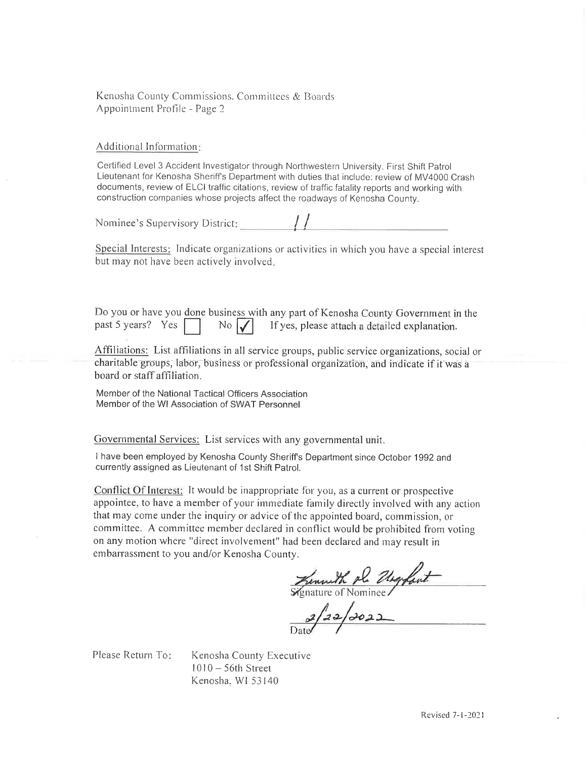Kenosha County Commissions. Committees & Boards Appointment Profile - Page 2

Additional Information:

Certified Level 3 Accident Investigator through Northwestern University. First Shift Patrol Lieutenant for Kenosha Sheriff's Department with duties that include: review of MV4000 Crash documents, review of ELCI traffic citations, review of traffic fatality reports and working with construction companies whose projects affect the roadways of Kenosha County.

Nominee's Supervisory District:

Special Interests: Indicate organizations or activities in which you have a special interest but may not have been actively involved.

Do you or have you done business with any part of Kenosha County Government in the If yes, please attach a detailed explanation. past 5 years? Yes  $\parallel$  $\overline{N}$   $\sqrt{}$ 

Affiliations: List affiliations in all service groups, public service organizations, social or charitable groups, labor, business or professional organization, and indicate if it was a board or staff affiliation.

Member of the National Tactical Officers Association Member of the WI Association of SWAT Personnel

Governmental Services: List services with any governmental unit.

I have been employed by Kenosha County Sheriff's Department since October 1992 and currently assigned as Lieutenant of 1st Shift Patrol.

Conflict Of Interest: It would be inappropriate for you, as a current or prospective appointee, to have a member of your immediate family directly involved with any action that may come under the inquiry or advice of the appointed board, commission, or committee. A committee member declared in conflict would be prohibited from voting on any motion where "direct involvement" had been declared and may result in embarrassment to you and/or Kenosha County.

Kenneth pl. Urgfant

 $2/22/2022$ 

Please Return To:

Kenosha County Executive  $1010 - 56$ th Street Kenosha, WI 53140